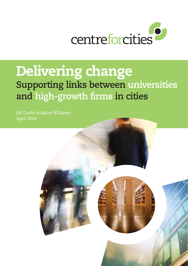

## Delivering change

**Supporting links between universities and high-growth firms in cities**

Ed Clarke & Maire Williams April 2014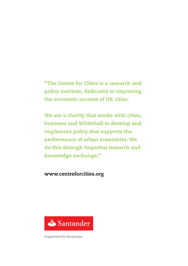## "The Centre for Cities is a research and policy institute, dedicated to improving the economic success of UK cities.

We are a charity that works with cities, business and Whitehall to develop and implement policy that supports the performance of urban economies. We do this through impartial research and knowledge exchange."

## www.centreforcities.org



Supported by Santander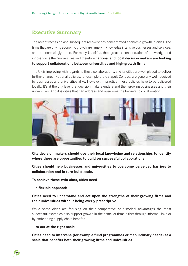## Executive Summary

The recent recession and subsequent recovery has concentrated economic growth in cities. The firms that are driving economic growth are largely in knowledge intensive businesses and services, and are increasingly urban. For many UK cities, their greatest concentration of knowledge and innovation is their universities and therefore **national and local decision makers are looking to support collaborations between universities and high-growth firms**.

The UK is improving with regards to these collaborations, and its cities are well placed to deliver further change. National policies, for example the Catapult Centres, are generally well received by businesses and universities alike. However, in practice, these policies have to be delivered locally. It's at the city level that decision makers understand their growing businesses and their universities. And it is cities that can address and overcome the barriers to collaboration.



**City decision makers should use their local knowledge and relationships to identify where there are opportunities to build on successful collaborations.** 

**Cities should help businesses and universities to overcome perceived barriers to collaboration and in turn build scale.**

**To achieve these twin aims, cities need…**

#### **…a flexible approach**

**Cities need to understand and act upon the strengths of their growing firms and their universities without being overly prescriptive.** 

While some cities are focusing on their comparative or historical advantages the most successful examples also support growth in their smaller firms either through informal links or by embedding supply chain benefits.

#### **…to act at the right scale.**

2

**Cities need to intervene (for example fund programmes or map industry needs) at a scale that benefits both their growing firms and universities.**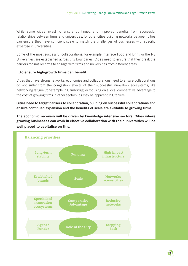While some cities invest to ensure continued and improved benefits from successful relationships between firms and universities, for other cities building networks between cities can ensure they have sufficient scale to match the challenges of businesses with specific expertise in universities.

Some of the most successful collaborations, for example Interface Food and Drink or the N8 Universities, are established across city boundaries. Cities need to ensure that they break the barriers for smaller firms to engage with firms and universities from different areas.

#### **…to ensure high-growth firms can benefit.**

Cities that have strong networks, economies and collaborations need to ensure collaborations do not suffer from the congestion effects of their successful innovation ecosystems, like networking fatigue (for example in Cambridge) or focusing on a local comparative advantage to the cost of growing firms in other sectors (as may be apparent in Otaniemi).

**Cities need to target barriers to collaboration, building on successful collaborations and ensure continued expansion and the benefits of scale are available to growing firms.**

**The economic recovery will be driven by knowledge intensive sectors. Cities where growing businesses can work in effective collaboration with their universities will be well placed to capitalise on this.**

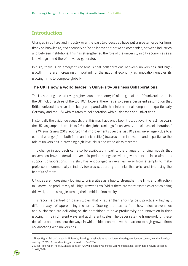## Introduction

Changes in culture and industry over the past two decades have put a greater value for firms firstly on knowledge, and secondly on 'open innovation' between companies, between industries and between institutions. This has strengthened the role of the university in city economies as a knowledge – and therefore value-generator.

In turn, there is an emergent consensus that collaborations between universities and highgrowth firms are increasingly important for the national economy as innovation enables its growing firms to compete globally.

#### **The UK is now a world leader in University-Business Collaborations.**

The UK has long had a thriving higher education sector; 10 of the global top 100 universities are in the UK including three of the top 10.<sup>1</sup> However there has also been a persistent assumption that British universities have done badly compared with their international comparators (particularly Germany and the US) with regards to collaboration with businesses and universities.

Historically the evidence suggests that this may have once been true, but over the last five years the UK has jumped from 11<sup>th</sup> to 2<sup>nd</sup> in the global rankings for university – business collaboration.<sup>2</sup> The Wilson Review 2012 reported that improvements over the last 10 years were largely due to a cultural change (from both firms and universities) towards open innovation and in particular the role of universities in providing high level skills and world class research.

This change in approach can also be attributed in part to the change of funding models that universities have undertaken over this period alongside wider government policies aimed to support collaborations. This shift has encouraged universities away from attempts to make professors 'commercially-minded', towards supporting the links that exist and improving the benefits of them.

UK cities are increasingly looking to universities as a hub to strengthen the links and attraction to – as well as productivity of – high-growth firms. Whilst there are many examples of cities doing this well, others struggle turning their ambition into reality.

This report is centred on case studies that – rather than showing best practice – highlight different ways of approaching the issue. Drawing the lessons from how cities, universities and businesses are delivering on their ambitions to drive productivity and innovation in their growing firms in different ways and at different scales. The paper sets the framework for these decisions and considers the ways in which cities can remove the barriers to high-growth firms collaborating with universities.

<sup>2</sup> Global Innovation Index, Available at http://www.globalinnovationindex.org/content.aspx?page=data-analysis accessed 11/04/2014



<sup>1</sup> Times Higher Education, World University Rankings. Available at http://www.timeshighereducation.co.uk/world-universityrankings/2012-13/world-ranking (accessed 11/04/2014)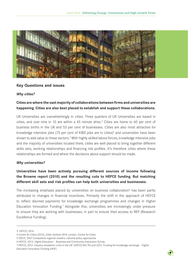

#### **Key Questions and issues**

#### *Why cities?*

## **Cities are where the vast majority of collaborations between firms and universities are happening. Cities are also best placed to establish and support these collaborations.**

UK Universities are overwhelmingly in cities. Three quarters of UK Universities are based in cities, and over nine in 10 are within a 45 minute drive.<sup>3</sup> Cities are home to 60 per cent of business births in the UK and 53 per cent of businesses. Cities are also most attractive for knowledge intensive jobs (73 per cent of KIBS jobs are in cities)<sup>4</sup> and universities have been shown to add value to these sectors.<sup>5</sup> With highly skilled labour forces, knowledge intensive jobs and the majority of universities located there, cities are well placed to bring together different skills sets, working relationships and financing risk profiles. It's therefore cities where these relationships are formed and where the decisions about support should be made.

#### *Why universities?*

## **Universities have been actively pursuing different sources of income following the Browne report (2010) and the resulting cuts to HEFCE funding. But matching different skill sets and risk profiles can help both universities and businesses.**

The increasing emphasis placed by universities on business collaboration<sup>6</sup> has been partly attributed to changes in financial incentives. Primarily the shift in the approach of HEFCE to reflect discreet payments for knowledge exchange programmes and changes in Higher Education Innovation Funding.<sup>7</sup> Alongside this, universities are increasingly under pressure to ensure they are working with businesses, in part to ensure their access to REF (Research Excellence Funding).



<sup>3</sup> HEFCE, 2014

<sup>4</sup> Centre for Cities (2014), *Cities Outlook 2014,* London: Centre for Cities

<sup>5</sup> OECD, 2007 Competitive regional clusters: national policy approaches

<sup>6</sup> HEFCE, 2013. Higher Education – Business and Community Interaction Survey

<sup>7</sup> HEFCE, 2012. Industry-Academic Links in the UK' (HEFCE 98/70) and 2012. Funding for knowledge exchange - Higher Education Innovation Funding (HEIF)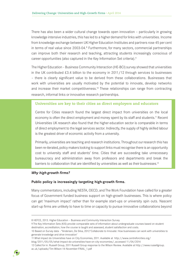There has also been a wider cultural change towards open innovation – particularly in growing knowledge intensive industries, this has led to a higher demand for links with universities. Income from knowledge exchange between UK Higher Education Institutes and partners rose 45 per cent in terms of real value since 2003-04.<sup>8</sup> Furthermore, for many sectors, commercial partnerships can improve both their research and teaching, attracting students increasingly conscious of career opportunities (also captured in the Key Information Set criteria).9

The Higher Education - Business Community Interaction (HE-BCI) survey showed that universities in the UK contributed  $£3.4$  billion to the economy in 2011/12 through services to businesses – there is clearly significant value to be derived from these collaborations. Businesses that work with universities are usually motivated by the potential to innovate, develop networks and increase their market competitiveness.10 These relationships can range from contracting research, informal links or innovative research partnerships.

#### Universities are key to their cities as direct employers and educators

Centre for Cities research found the largest direct impact from universities on the local economy is often the direct employment and money spent by its staff and students.<sup>11</sup> Recent Universities UK research also found that the higher education sector is comparable in terms of direct employment to the legal services sector. Indirectly, the supply of highly skilled labour is the greatest driver of economic activity from a university.

Primarily, universities are teaching and research institutions. Throughout our research this has been re-iterated, policy makers looking to support links must recognise there is an opportunity cost to university staff and students' time. Cities that are succeeding take unnecessary bureaucracy and administration away from professors and departments and break the barriers to collaboration that are identified by universities as well as their businesses.<sup>12</sup>

#### *Why high-growth firms?*

#### **Public policy is increasingly targeting high-growth firms.**

Many commentators, including NESTA, OECD, and The Work Foundation have called for a greater focus of Government funded business support on high-growth businesses. This is where policy can get 'maximum impact' rather than for example start-ups or university spin outs. Nascent start-up firms are unlikely to have to time or capacity to pursue innovative collaborations beyond

11 What impact do Universities have on City Economies, 2011. Available at http://www.centreforcities.org/

blog/2011/05/05/what-impact-do-universities-have-on-city-economies/, accessed 11/04/2014

<sup>12</sup> Called for in: Russell Group, 2011 Russell Group response to the Wilson Review. Available at http://www.russellgroup. ac.uk/uploads/Tim-Wilson-14-November-FINAL\_1.pdf



<sup>8</sup> HEFCE, 2013. Higher Education – Business and Community Interaction Survey

<sup>9</sup> The Key Information Sets (KIS) provide comparable sets of information about undergraduate courses based on student destination, accreditation, how the course is taught and assessed, student satisfaction and costs.

<sup>10</sup> Based on Survey data - "Andersen, De Silva, 2012 'Collaborate to Innovate: How businesses can work with universities to generate knowledge and drive innovation'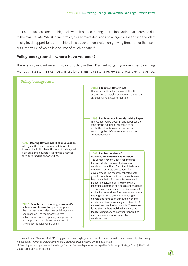their core business and are high risk when it comes to longer term innovation partnerships due to their failure rate. Whilst larger firms typically make decisions on a larger scale and independent of city level support for partnerships. This paper concentrates on growing firms rather than spin outs, the value of which is a source of much debate.13

#### **Policy background – where have we been?**

There is a significant recent history of policy in the UK aimed at getting universities to engage with businesses.<sup>14</sup> This can be charted by the agenda setting reviews and acts over this period.



13 Brown, R. and Mawson, S. (2013) 'Trigger points and high-growth firms: A conceptualisation and review of public policy implications', *Journal of Small Business and Enterprise Development,* 20(2), pp. 279-295. 14 Teaching company scheme, Knowledge Transfer Partnerships (now managed by Technology Strategy Board), the Third Mission, the Spin-outs agenda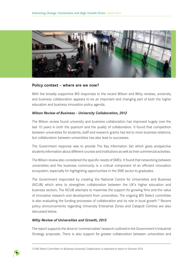

#### **Policy context – where are we now?**

With the broadly supportive BIS responses to the recent Wilson and Witty reviews, university and business collaboration appears to be an important and changing part of both the higher education and business innovation policy agenda.

#### *Wilson Review of Business - University Collaboration, 2012*

The Wilson review found university and business collaboration has improved hugely over the last 10 years in both the *quantum* and the *quality* of collaboration. It found that competition between universities for students, staff and research grants has led to more business relations, but collaboration between universities has also lead to successes.

The Government response was to provide The Key Information Set which gives prospective students information about different courses and institutions as well as their commercial activities.

The Wilson review also considered the specific needs of SMEs. It found that networking between universities and the business community is a critical component of an efficient innovation ecosystem, especially for highlighting opportunities in the SME sector to graduates.

The Government responded by creating the National Centre for Universities and Business (NCUB) which aims to strengthen collaboration between the UK's higher education and business sectors. The NCUB attempts to maximise the support for growing fims and the value of innovative research and development from universities. The ongoing BIS Select committee is also evaluating the funding processes of collaboration and its role in local growth.15 Recent policy announcements regarding University Enterprise Zones and Catapult Centres are also discussed below.

#### *Witty Review of Universities and Growth, 2013*

The report supports the drive to 'commercialise' research outlined in the Government's Industrial Strategy proposals. There is also support for greater collaboration between universities and

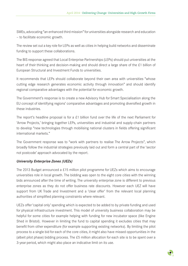SMEs, advocating "an enhanced third mission" for universities alongside research and education — to facilitate economic growth.

The review set out a key role for LEPs as well as cities in helping build networks and disseminate funding to support these collaborations.

The BIS response agreed that Local Enterprise Partnerships (LEPs) should put universities at the heart of their thinking and decision-making and should direct a large share of the £1 billion of European Structural and Investment Funds to universities.

It recommends that LEPs should collaborate beyond their own area with universities "whose cutting edge research generates economic activity through innovation" and should identify regional comparative advantages with the potential for economic growth.

The Government's response is to create a new Advisory Hub for Smart Specialisation along the EU concept of identifying regions' comparative advantages and promoting diversified growth in these industries.

The report's headline proposal is for a £1 billion fund over the life of the next Parliament for 'Arrow Projects,' bringing together LEPs, universities and industrial and supply-chain partners to develop "new technologies through mobilising national clusters in fields offering significant international markets."

The Government response was to "work with partners to realise The Arrow Projects", which broadly follow the industrial strategies previously laid out and form a central part of the 'sector not postcode' approach advocated by the report.

#### *University Enterprise Zones (UEZs)*

The 2013 Budget announced a £15 million pilot programme for UEZs which aims to encourage universities role in local growth. The bidding was open to the eight core cities with the winning bids announced after the time of writing. The university enterprise zone is different to previous enterprise zones as they do not offer business rate discounts. However each UEZ will have support from UK Trade and Investment and a 'clear offer' from the relevant local planning authorities of simplified planning constraints where relevant.

UEZs offer 'capital only' spending which is expected to be added to by private funding and used for physical infrastructure investment. This model of university business collaboration may be helpful for some cities for example helping with funding for new incubator space (like Engine Shed in Bristol). However in limiting the fund to capital spending it excludes cities that may benefit from other expenditure (for example supporting existing networks). By limiting the pilot process to a single bid for each of the core cities, it might also have missed opportunities in the (albeit pilot phase) bidding process. The  $£5$  million allocation for each site is to be spent over a 3-year period, which might also place an indicative limit on its use.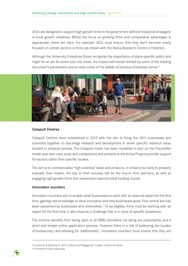UEZs are designed to support high-growth firms in the government defined 'industrial strategies' or local growth initiatives. Whilst the focus on growing firms and comparative advantages is appropriate, there are risks. For example UEZs must ensure that they don't become overly focused on certain sectors or firms (as shown with the Nokia Research Centre in Helsinki).

Although the University Enterprise Zones recognise the importance of place-specific policy and might be of use for some core city areas, the impact will remain limited by some of the bidding document's parameters and re-visits some of the pitfalls of previous Enterprise Zones.<sup>16</sup>



#### *Catapult Centres*

Catapult Centres were established in 2012 with the aim to bring the UK's businesses and scientists together on late-stage research and development in seven specific research areas located in physical centres. The Catapult model has been modelled in part on the Fraunhofer model (see later case study and comparison) and similarly to the Arrow Projects provide support for sectors rather than specific locales.

The aim is to commercialise 'high potential' ideas and products. It remains too early to properly evaluate their impact, the key to their success will be the buy-in from partners, as well as engaging high-growth firms and researchers beyond initial funding rounds.

#### *Innovation vouchers*

Innovation vouchers aim to enable small businesses to work with an external expert for the first time, gaining new knowledge to drive innovation and help businesses grow. This central aim has been welcomed by businesses and universities.<sup>17</sup> To be eligible, firms must be working with an expert for the first time; it also must be a challenge that is in need of specific assistance.

The scheme benefits from being open to all SMEs (therefore not being too prescriptive) and a short and simple online application process. However there is a risk of balancing the burden of bureaucracy and allowing for 'additionality'. Innovation vouchers must ensure that they are

<sup>16</sup> Larkin,K. & Swinney, P. (2011) *What would Maggie do?* London: Centre for Cities 17 Centre for Cities interviews

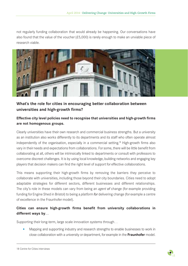not regularly funding collaboration that would already be happening. Our conversations have also found that the value of the voucher  $(E5,000)$  is rarely enough to make an unviable piece of research viable.



## **What's the role for cities in encouraging better collaboration between universities and high-growth firms?**

## **Effective city level policies need to recognise that universities and high-growth firms are not homogenous groups.**

Clearly universities have their own research and commercial business strengths. But a university as an institution also works differently to its departments and its staff who often operate almost independently of the organisation, especially in a commercial setting.18 High-growth firms also vary in their needs and expectations from collaborations. For some, there will be little benefit from collaborating at all, others will be intrinsically linked to departments or consult with professors to overcome discreet challenges. It is by using local knowledge, building networks and engaging key players that decision makers can find the right level of support for effective collaborations.

This means supporting their high-growth firms by removing the barriers they perceive to collaborate with universities, including those beyond their city boundaries. Cities need to adopt adaptable strategies for different sectors, different businesses and different relationships. The city's role in these models can vary from being an *agent of* change (for example providing funding for Engine Shed in Bristol) to being a *platform for* delivering change (for example a centre of excellence in the Fraunhofer model).

## **Cities can ensure high-growth firms benefit from university collaborations in different ways by…**

Supporting their long-term, large scale innovation systems through…

• Mapping and supporting industry and research strengths to enable businesses to work in close collaboration with a university or department, for example in the **Fraunhofer** model.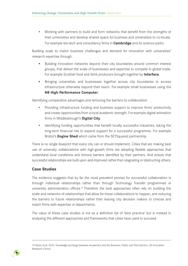• Working with partners to build and form networks that benefit from the strengths of their universities and develop shared space for business and universities to co-locate. For example bio-tech and consultancy firms in **Cambridge** and its science parks.

Building scale to match business challenges and demand for innovation with universities' research expertise through…

- Building innovation networks beyond their city boundaries around common interest groups, that deliver the scale of businesses and expertise to compete in global trade. For example Scottish food and drink producers brought together by **Interface**.
- • Bringing universities and businesses together across city boundaries to access infrastructure otherwise beyond their reach. For example small businesses using the **N8 High Performance Computer**.

Identifying comparative advantages and removing the barriers to collaboration …

- Providing infrastructure funding and business support to improve firms' productivity and create opportunities from a local academic strength. For example digital animation firms in Middlesbrough's **Digital City**.
- Identifying funding opportunities that benefit locally successful industries, taking the long-term financial risk to expand support for a successful programme. For example Bristol's **Engine Shed** which came from the SETSquared partnership.

There is no single blueprint that every city can or should implement. Cities that are making best use of university collaborations with high-growth firms are adopting flexible approaches that understand local conditions and remove barriers identified by their partners. And ensure that successful relationships are built upon and improved rather than stagnating or obstructing others.

## **Case Studies**

The evidence suggests that by far the most prevalent prompt for successful collaboration is through individual relationships rather than through Technology Transfer programmes or university administration offices.19 Therefore the best approaches often rely on building the scale and networks of relationships that allow for these collaborations to happen, and reducing the barriers to future relationships rather than leaving city decision makers to choose and match firms with expertise or departments.

The value of these case studies is not as a definitive list of 'best practice' but is instead in analysing the different approaches and frameworks that cities have used to succeed.

<sup>19</sup> Abreu et al. 2010. *Knowledge exchange between Academics and the Business, Public and Third Sectors*. UK Innovation Research Centre.

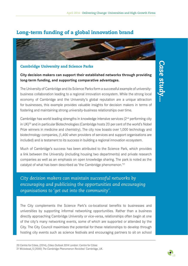## Long-term funding of a global innovation brand



## Cambridge University and Science Parks

**City decision makers can support their established networks through providing long-term funding, and supporting comparative advantages.** 

The University of Cambridge and its Science Parks form a successful example of universitybusiness collaboration leading to a regional innovation ecosystem. While the strong local economy of Cambridge and the University's global reputation are a unique attraction for businesses, this example provides valuable insights for decision makers in terms of fostering and maintaining strong university-business relationships over time.

Cambridge has world leading strengths in knowledge intensive services  $(2<sup>nd</sup>$  performing city in UK)<sup>20</sup> and in particular Biotechnologies (Cambridge hosts 20 per cent of the world's Nobel Prize winners in medicine and chemistry). The city now boasts over 1,000 technology and biotechnology companies, (1,400 when providers of services and support organisations are included) and is testament to its success in building a regional innovation ecosystem.

Much of Cambridge's success has been attributed to the Science Park, which provides a link between the University (including housing two departments) and private research companies as well as an emphasis on open knowledge sharing. The park is noted as the catalyst of what has been described as 'the Cambridge phenomenon.'21

*City decision makers can maintain successful networks by encouraging and publicising the opportunities and encouraging organisations to 'get out into the community'.*

The City complements the Science Park's co-locational benefits to businesses and universities by supporting informal networking opportunities. Rather than a business directly approaching Cambridge University or vice-versa, relationships often begin at one of the city's many networking events, some of which are supported or attended by the City. The City Council maximises the potential for these relationships to develop through hosting city events such as science festivals and encouraging partners to sit on school



<sup>20</sup> Centre for Cities, (2014), *Cities Outlook 2014* London: Centre for Cities

<sup>21</sup> Wickstead, S (2000) *The Cambridge Phenomenon Revisited.* Cambridge, UK.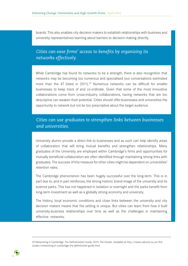boards. This also enables city decision makers to establish relationships with business and university representatives learning about barriers to decision making directly.

## *Cities can ease firms' access to benefits by organising its networks effectively.*

While Cambridge has found its networks to be a strength, there is also recognition that networks may be becoming too numerous and specialised (our conversations estimated more than the 47 listed in 2011).<sup>22</sup> Numerous networks can be difficult for smaller businesses to keep track of and co-ordinate. Given that some of the most innovative collaborations come from cross-industry collaborations, having networks that are too descriptive can weaken their potential. Cities should offer businesses and universities the opportunity to network but not be too prescriptive about the target audience.

## *Cities can use graduates to strengthen links between businesses and universities.*

University alumni provide a direct link to businesses and as such can help identify areas of collaboration that will bring mutual benefits and strengthen relationships. Many graduates of the University are employed within Cambridge's firms and opportunities for mutually beneficial collaboration are often identified through maintaining strong links with graduates. The success of this measure for other cities might be dependent on universities' retention rates.

The Cambridge phenomenon has been hugely successful over the long-term. This is in part due to, and in part reinforces, the strong historic brand image of the university and its science parks. This has not happened in isolation or overnight and the parks benefit from long-term investment as well as a globally strong economy and university.

The history, local economic conditions and close links between the university and city decision makers means that the setting is unique. But cities can learn from how it built university-business relationships over time as well as the challenges in maintaining effective networks.

<sup>22</sup> Networking in Cambridge: The Definitive(ish) Guide, 2010, The Cluster. Available at http://www.cabume.co.uk/thecluster/networking-in-cambridge-the-definitiveish-guide.html

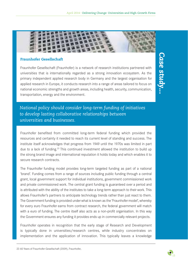

#### Fraunhofer Gesellschaft

Fraunhofer Gesellschaft (Fraunhofer) is a network of research institutions partnered with universities that is internationally regarded as a strong innovation ecosystem. As the primary independent applied research body in Germany and the largest organisation for applied research in Europe, it conducts research into a range of areas tailored to focus on national economic strengths and growth areas, including health, security, communication, transportation, energy and the environment.

**Case study...** *Case study...*

*National policy should consider long-term funding of initiatives to develop lasting collaborative relationships between universities and businesses.*

Fraunhofer benefited from committed long-term federal funding which provided the resources and certainty it needed to reach its current level of standing and success. The institute itself acknowledges that progress from 1949 until the 1970s was limited in part due to a lack of funding.<sup>23</sup> This continued investment allowed the institution to build up the strong brand image and international reputation it holds today and which enables it to secure research contracts.

The Fraunhofer funding model provides long-term targeted funding as part of a national 'brand'. Funding comes from a range of sources including public funding through a central grant, local government support for individual institutions, government commissioned work and private commissioned work. The central grant funding is guaranteed over a period and is attributed with the ability of the institutes to take a long-term approach to their work. This allows Fraunhofer's partners to anticipate technology trends rather than just react to them. The Government funding is provided under what is known as the 'Fraunhofer model', whereby for every euro Fraunhofer earns from contract research, the federal government will match with a euro of funding. The centre itself also acts as a non-profit organisation. In this way the Government ensures any funding it provides ends up in commercially relevant projects.

Fraunhofer operates in recognition that the early stage of Research and Development is typically done in universities/research centres, while industry concentrates on implementation and the application of innovation. This typically leaves a knowledge

23 60 Years of Fraunhofer-Gesellschaft (2009), Fraunhofer,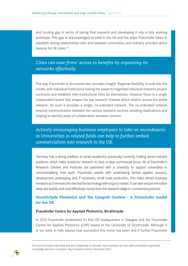and funding gap in terms of taking that research and developing it into a fully working prototype. This gap is acknowledged to exist in the UK and the steps Fraunhofer takes to establish strong relationships with and between universities and industry provides direct lessons for UK cities.24

## *Cities can ease firms' access to benefits by organising its networks effectively.*

The way Fraunhofer is structured also provides insight. Regional flexibility is built into the model, with individual institutions having the power to negotiate individual research project contracts and establish inter-institutional links for themselves. However there is a single independent board that shapes the key research themes which stretch across the entire network. As such it provides a single, co-ordinated network. The co-ordinated network ensures communication between the various research centres, avoiding duplications and helping to identify areas of collaboration between centres.

## *Actively encouraging business employees to take on secondments in Universities in related fields can help to further embed commercialism into research in the UK.*

Germany has a strong tradition of senior academics previously/currently holding senior industry positions, which helps academic research to have a clear commercial focus. All of Fraunhofer's Research Centres and Institutes are partnered with a university to support universities in commercialising their work. Fraunhofer assists with undertaking further applied research, development, prototyping and, if necessary, small scale production. This helps attract business investors as it removes the risk that the technology will not go to market. It can also ensure innovative ideas are quickly and cost-effectively moved from the research stage to commercial products.

## Stratchclyde Photonics and the Catapult Centres - A Fraunhofer model for the UK

#### **Fraunhofer Centre for Applied Photonics, Strathclyde**

In 2012 Fraunhofer established its first UK headquarters in Glasgow and the Fraunhofer Centre for Applied Photonics (CAP) based at the University of Strathclyde. Although it is too early to fully assess how successful this move has been and if further Fraunhofer

24 Centre for Cities interviews and and Collaborate to innovate: How business can work with universities to generate knowledge and drive innovation, Big Innovation Centre, November 2013.

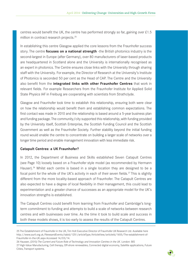centres would benefit the UK, the centre has performed strongly so far, gaining over  $£1.5$ million in contract research projects.25

In establishing this centre Glasgow applied the core lessons from the Fraunhofer success story. The centre **focuses on a national strength** -the British photonics industry is the second-largest in Europe (after Germany), over 80 manufacturers of laser-based products are headquartered in Scotland alone and the University is internationally recognised as an expert in photonics. The Centre ensures close links with the University through sharing staff with the University. For example, the Director of Research at the University's Institute of Photonics is seconded 50 per cent as the Head of CAP. The Centre and the University also benefit from the **integrated links with other Fraunhofer Centres** that work in relevant fields. For example Researchers from the Fraunhofer Institute for Applied Solid State Physics IAF in Freiburg are cooperating with scientists from Strathclyde.

Glasgow and Fraunhofer took time to establish this relationship, ensuring both were clear on how the relationship would benefit them and establishing common expectations. The first contact was made in 2010 and the relationship is based around a 5-year business plan and funding package. The community/city supported this relationship, with funding provided by the University itself, Scottish Enterprise, the Scottish Funding Council and the Scottish Government as well as the Fraunhofer Society. Further stability beyond the initial funding round would enable the centre to concentrate on building a larger scale of networks over a longer time period and enable management innovation with less immediate risk.

#### **Catapult Centres: a UK Fraunhofer?**

In 2012, the Department of Business and Skills established Seven Catapult Centres (see Page 10) loosely based on a Fraunhofer style model (as recommended by Hermann Hauser).<sup>26</sup> Whilst each centre is based in a single location they are designed to be a focal point for the whole of the UK's activity in each of their seven fields.<sup>27</sup> This is slightly different from the more locality-based approach of Fraunhofer. The Catapult Centres are also expected to have a degree of local flexibility in their management, this could lead to experimentation and a greater chance of successes as an appropriate model for the UK's innovation strengths is established.

The Catapult Centres could benefit from learning from Fraunhofer and Cambridge's longterm commitment to funding and attempts to build a scale of networks between research centres and with businesses over time. As the time it took to build scale and success in both these models shows, it is too early to assess the results of the Catapult Centres.

26 Hausser, (2010*) The Current and Future Role of Technology and Innovation Centres in the UK.* London: BIS 27 High-Value Manufacturing, Cell therapy, Off-shore renewables, Connected digital economy, Satellite applications, Future Cities, Transport systems.



<sup>25</sup> The Establishment of Fraunhofer in the UK, Tim Holt Executive Director of Fraunhofer UK Research Ltd. Available here http://www.auril.org.uk/NewsandEvents/tabid/1251/articleType/ArticleView/articleId/1655/The-establishment-of-Fraunhofer-in-the-UK.aspx Accessed 14/03/14.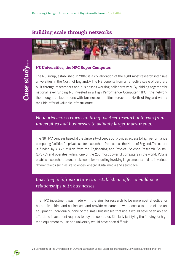## Building scale through networks



#### N8 Universities, the HPC Super Computer:

The N8 group, established in 2007, is a collaboration of the eight most research intensive universities in the North of England.28 The N8 benefits from an effective scale of partners built through researchers and businesses working collaboratively. By bidding together for national level funding N8 invested in a High Performance Computer (HPC), the network then sought collaborations with businesses in cities across the North of England with a tangible offer of valuable infrastructure.

## *Networks across cities can bring together research interests from universities and businesses to validate larger investments.*

The N8 HPC centre is based at the University of Leeds but provides access to high performance computing facilities for private sector researchers from across the North of England. The centre is funded by £3.25 million from the Engineering and Physical Science Research Council (EPSRC) and operates Polaris, one of the 250 most powerful computers in the world. Polaris enables researchers to undertake complex modelling involving large amounts of data in various different fields such as life sciences, energy, digital media and aerospace.

## *Investing in infrastructure can establish an offer to build new relationships with businesses.*

The HPC investment was made with the aim for research to be more cost effective for both universities and businesses and provide researchers with access to state-of-the-art equipment. Individually, none of the small businesses that use it would have been able to afford the investment required to buy the computer. Similarly justifying the funding for high tech equipment to just one university would have been difficult.

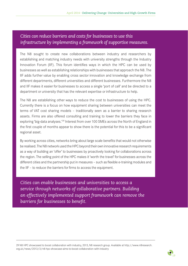## *Cities can reduce barriers and costs for businesses to use this infrastructure by implementing a framework of supportive measures.*

The N8 sought to create new collaborations between industry and researchers by establishing and matching industry needs with university strengths through the Industry Innovation Forum (IIF). This forum identifies ways in which the HPC can be used by businesses as well as establishing relationships with businesses that approach the N8. The IIF adds further value by enabling cross sector innovation and knowledge exchange from different departments, different universities and different businesses. Furthermore the N8 and IIF makes it easier for businesses to access a single 'port of call' and be directed to a department or university that has the relevant expertise or infrastructure to help.

The N8 are establishing other ways to reduce the cost to businesses of using the HPC. Currently there is a focus on how equipment sharing between universities can meet the terms of VAT cost sharing models – traditionally seen as a barrier to sharing research assets. Firms are also offered consulting and training to lower the barriers they face in exploring 'big-data analyses.'<sup>29</sup> Interest from over 100 SMEs across the North of England in the first couple of months appear to show there is the potential for this to be a significant regional asset.

By working across cities, networks bring about large scale benefits that would not otherwise be realised. The N8 network used the HPC beyond their own innovative research requirements as a way of building an 'offer' to businesses by proactively looking for collaborations across the region. The selling point of the HPC makes it 'worth the travel' for businesses across the different cities and the partnership put in measures – such as flexible e-training modules and the IIF – to reduce the barriers for firms to access the equipment.

*Cities can enable businesses and universities to access a service through networks of collaborative partners. Building an effectively implemented support framework can remove the barriers for businesses to benefit.* 

29 N8 HPC showcased to boost collaboration with industry, 2013, N8 research group. Available at http://www.n8research. org.uk/news/2013/3/n8-hpc-showcase-aims-to-boost-collaboration-with-industry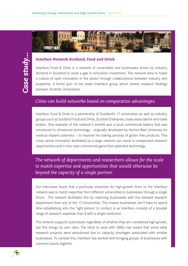#### Interface Network Scotland, Food and Drink

Interface Food & Drink is a network of universities and businesses driven by industry demand in Scotland to close a gap in innovation investment. The network aims to foster a culture of open innovation in the sector through collaborations between industry and academia. It forms part of the wider Interface group which shares research findings between Scottish Universities.

## *Cities can build networks based on comparative advantages.*

Interface Food & Drink is a partnership of Scotland's 17 universities as well as industry groups such as Scotland Food and Drink, Scottish Enterprise, trade associations and trade bodies. One example of the network's benefit was a local commercial bakery that was introduced to ultrasound technology - originally developed by Herriot Watt University for medical implant polymers – to improve the baking process of gluten free products. This cross sector innovation facilitated by a large network can result in unexpected research opportunities and in this case commercial gains from patented technology.

*The network of departments and researchers allows for the scale to match expertise and opportunities that would otherwise be beyond the capacity of a single partner.* 

Our interviews found that a particular attraction for high-growth firms to the Interface network was to match expertise from different universities to businesses through a single forum. The network facilitates this by matching businesses with the relevant research department from any of the 17 Universities. This means businesses don't have to spend time establishing who the 'right person' to contact is as Interface consists of a broader range of research expertise than if with a single institution.

The network supports businesses regardless of whether they are considered high-growth, but this brings its own risks. The remit to work with SMEs has meant that some early research projects were abandoned due to capacity shortages associated with smaller businesses. To combat this, Interface has worked with bringing groups of businesses with common issues together.

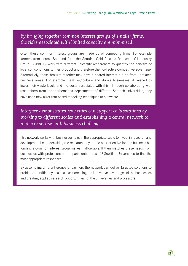## *By bringing together common interest groups of smaller firms, the risks associated with limited capacity are minimised.*

Often these common interest groups are made up of competing firms. For example farmers from across Scotland form the Scottish Cold Pressed Rapeseed Oil Industry Group (SCPROIG) work with different university researchers to quantify the benefits of local soil conditions to their product and therefore their collective competitive advantage. Alternatively, those brought together may have a shared interest but be from unrelated business areas. For example meat, agriculture and drinks businesses all wished to lower their waste levels and the costs associated with this. Through collaborating with researchers from the mathematics departments of different Scottish universities, they have used new algorithm based modelling techniques to cut waste.

*Interface demonstrates how cities can support collaborations by working to different scales and establishing a central network to match expertise with business challenges.*

This network works with businesses to gain the appropriate scale to invest in research and development i.e. undertaking the research may not be cost-effective for one business but forming a common interest group makes it affordable. It then matches these needs from businesses with professors and departments across 17 Scottish Universities to find the most appropriate responses.

By assembling different groups of partners the network can deliver targeted solutions to problems identified by businesses; increasing the innovative advantages of the businesses and creating applied research opportunities for the universities and professors.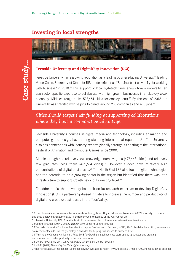## Investing in local strengths



#### Teesside University and DigitalCity Innovation (DCI)

Teesside University has a growing reputation as a leading business-facing University,<sup>30</sup> leading Vince Cable, Secretary of State for BIS, to describe it as "Britain's best university for working with business" in 2010.<sup>31</sup> This support of local high-tech firms shows how a university can use sector specific expertise to collaborate with high-growth businesses in a relatively weak economy (Middlesbrough ranks  $59<sup>th</sup>/64$  cities for employment).<sup>32</sup> By the end of 2013 the University was credited with helping to create around 250 companies and 450 jobs.<sup>33</sup>

## *Cities should target their funding at supporting collaborations where they have a comparative advantage.*

Teesside University's courses in digital media and technology, including animation and computer game design, have a long standing international reputation.34 The University also has connections with industry experts globally through its hosting of the International Festival of Animation and Computer Games since 2000.

Middlesbrough has relatively few knowledge intensive jobs  $(47<sup>th</sup>/63$  cities) and relatively few graduates living there  $(48<sup>th</sup>/64$  cities).<sup>35</sup> However it does have relatively high concentrations of digital businesses.36 The North East LEP also found digital technologies had the potential to be a growing sector in the region but identified that there was little infrastructure to support growth beyond its existing level.<sup>37</sup>

To address this, the university has built on its research expertise to develop DigitalCity Innovation (DCI), a partnership-based initiative to increase the number and productivity of digital and creative businesses in the Tees Valley.

- 30 The University has won a number of awards including: Times Higher Education Awards for 2009 University of the Year and Best Employer Engagement; 2013 Entrepreneurial University of the Year runner-up
- 31 Teesside University, NCUB. Available at http://www.ncub.co.uk/members/teesside-university.html
- 32 Centre for Cities (2014), *Cities Factbook 2014* London: Centre for Cities
- 33 Teesside University Employee Awarded for Helping Businesses to Succeed, NCUB, 2013. Available here http://www.ncub. co.uk/news/teeside-university-employee-awarded-for-helping-businesses-to-succeed.html

34 Winning the Queen's Anniversary Prize 2013 for Growing digital business start-ups by graduates and creating entrepreneurship and opportunity in the local economy

35 Centre for Cities (2014), *Cities Factbook 2014* London: Centre for Cities

36 NIESR (2012) *Measuring the UK's digital economy*

<sup>37</sup> The North East LEP Independent Economic Review, available as http://www.nelep.co.uk/media/3003/final-evidence-base.pdf

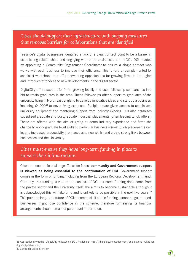## *Cities should support their infrastructure with ongoing measures that removes barriers for collaborations that are identified.*

Teesside's digital businesses identified a lack of a clear contact point to be a barrier in establishing relationships and engaging with other businesses in the DCI. DCI reacted by appointing a Community Engagement Coordinator to ensure a single contact who works with each business to improve their efficiency. This is further complemented by specialist workshops that offer networking opportunities for growing firms in the region and introduce attendees to new developments in the digital sector.

DigitalCity offers support for firms growing locally and uses fellowship scholarships in a bid to retain graduates in the area. These fellowships offer support to graduates of the university living in North East England to develop innovative ideas and start up a business; including  $£4.000^{38}$  to cover living expenses. Recipients are given access to specialised university equipment and mentoring support from industry experts. DCI also organises subsidised graduate and postgraduate industrial placements (often leading to job offers). These are offered with the aim of giving students industry experience and firms the chance to apply graduate level skills to particular business issues. Such placements can lead to increased productivity (from access to new skills) and create strong links between businesses and the University.

## *Cities must ensure they have long-term funding in place to support their infrastructure.*

Given the economic challenges Teesside faces, **community and Government support is viewed as being essential to the continuation of DCI**. Government support comes in the form of funding, including from the European Regional Development Fund. Currently, this funding is vital to the success of DCI but some funding does come from the private sector and the University itself. The aim is to become sustainable although it is acknowledged this will take time and is unlikely to be possible in the next five years.<sup>39</sup> This puts the long-term future of DCI at some risk, if stable funding cannot be guaranteed, businesses might lose confidence in the scheme, therefore formalising its financial arrangements should remain of paramount importance.

<sup>38</sup> Applications invited for DigitalCity Fellowships. DCI. Available at http://digitalcityinnovation.com/applications-invited-fordigitalcity-fellowship/ 39 Centre for Cities interview

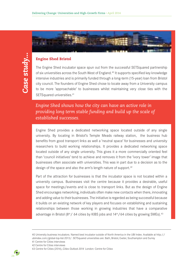### Engine Shed Bristol

The Engine Shed incubator space spun out from the successful SETSquared partnership of six universities across the South West of England.40 It supports specified key knowledge intensive industries and is primarily funded through a long-term (15-year) loan from Bristol city council. The founders of Engine Shed chose to locate away from a University campus to be more 'approachable' to businesses whilst maintaining very close ties with the SETSquared universities.<sup>41</sup>

*Engine Shed shows how the city can have an active role in providing long term stable funding and build up the scale of established successes.*

Engine Shed provides a dedicated networking space located outside of any single university. By locating in Bristol's Temple Meads railway station, the business hub benefits from good transport links as well a 'neutral space' for businesses and university researchers to build working relationships. It provides a dedicated networking space located outside of any single university. This gives it a more commercially oriented feel than 'council initiatives' tend to achieve and removes it from the 'ivory tower' image that businesses often associate with universities. This was in part due to a decision as to the design of the space and also the arm's length nature of support.<sup>42</sup>

Part of the attraction for businesses is that the incubator space is not located within a university campus. Businesses visit the centre because it provides a desirable, useful space for meetings/events and is close to transport links. But as the design of Engine Shed encourages networking, individuals often make new contacts when there, innovating and adding value to their businesses. The initiative is regarded as being successful because it builds on an existing network of key players and focuses on establishing and sustaining relationships between those working in growing industries that have a comparative advantage in Bristol ( $8<sup>th</sup>$ / 64 cities by KIBS jobs and  $14<sup>th</sup>$ /64 cities by growing SMEs).<sup>43</sup>

<sup>43</sup> Centre for Cities (2014), *Cities Outlook 2014* London: Centre for Citie*s*



<sup>40</sup> University business incubators. Named best incubator outside of North America in the UBI Index. Available at http:// ubiindex.com/global-top-list-2013/. SETSquared universities are: Bath, Bristol, Exeter, Southampton and Surrey 41 Centre for Cities interviews

<sup>42</sup> Centre for Cities interviews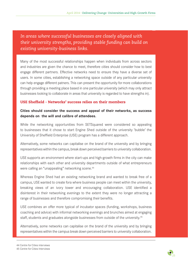*In areas where successful businesses are closely aligned with their university strengths, providing stable funding can build on existing university-business links.* 

Many of the most successful relationships happen when individuals from across sectors and industries are given the chance to meet, therefore cities should consider how to best engage different partners. Effective networks need to ensure they have a diverse set of users. In some cities, establishing a networking space outside of any particular university can help engage different patners. This can present the opportunity for more collaborations through providing a meeting place based in one particular university (which may only attract businesses looking to collaborate in areas that university is regarded to have strengths in).

#### USE Sheffield - Networks' success relies on their members

### **Cities should consider the success and appeal of their networks, as success depends on the will and calibre of attendees.**

While the networking opportunities from SETSquared were considered so appealing to businesses that it chose to start Engine Shed outside of the university 'bubble' the University of Sheffield Enterprise (USE) program has a different approach.

Alternatively, some networks can capitalise on the brand of the university and by bringing representatives within the campus, break down perceived barriers to university collaboration.

USE supports an environment where start-ups and high-growth firms in the city can make relationships with each other and university departments outside of what entrepreneurs were calling an "unappealing" networking scene.<sup>44</sup>

Whereas Engine Shed had an existing networking brand and wanted to break free of a campus, USE wanted to create fora where business people can meet within the university, breaking views of an ivory tower and encouraging collaboration. USE identified a disinterest in their networking evenings to the extent they were no longer attracting a range of businesses and therefore compromising their benefits.

USE combines an offer more typical of incubator spaces (funding, workshops, business coaching and advice) with informal networking evenings and brunches aimed at engaging staff, students and graduates alongside businesses from outside of the university.45

Alternatively, some networks can capitalise on the brand of the university and by bringing representatives within the campus break down perceived barriers to university collaboration.



<sup>44</sup> Centre for Cities interviews

<sup>45</sup> Centre for Cities Interviews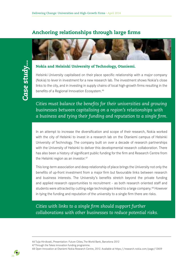## Anchoring relationships through large firms



#### Nokia and Helsinki University of Technology, Otaniemi.

Helsinki University capitalised on their place specific relationship with a major company (Nokia) to lever in investment for a new research lab. The investment shows Nokia's close links to the city, and in investing in supply chains of local high-growth firms resulting in the benefits of a Regional Innovation Ecosystem.46

*Cities must balance the benefits for their universities and growing businesses between capitalising on a region's relationships with a business and tying their funding and reputation to a single firm.*

In an attempt to increase the diversification and scope of their research, Nokia worked with the city of Helsinki to invest in a research lab on the Otaniemi campus of Helsinki University of Technology. The company built on over a decade of research partnerships with the University of Helsinki to deliver this developmental research collaboration. There has also been a history of significant public funding for the firm and Research Centre from the Helsinki region as an investor.47

This long-term association and deep relationship of place brings the University not only the benefits of up-front investment from a major firm but favourable links between research and business interests. The University's benefits stretch beyond the private funding and applied research opportunities to recruitment - as both research oriented staff and students were attracted by cutting edge technologies linked to a large company.48 However in tying the funding and reputation of the university to a single firm there are risks.

*Cities with links to a single firm should support further collaborations with other businesses to reduce potential risks.*

<sup>48</sup> Open Innovation at Otaniemi Nokia Research Centre, 2012. Available at https://research.nokia.com/page/12409



<sup>46</sup> Tuija Hirvikoski, Presentation: Future Cities, The World Bank, Barcelona 2012

<sup>47</sup> Through the Tekes innovation funding programme.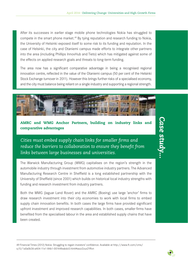After its successes in earlier stage mobile phone technologies Nokia has struggled to compete in the smart phone market.<sup>49</sup> By tying reputation and research funding to Nokia, the University of Helsinki exposed itself to some risk to its funding and reputation. In the case of Helsinki, the city and Otaniemi campus made efforts to integrate other partners into the area (including Phillips InnovHub and Tieto) which has mitigated against some of the effects on applied research goals and threats to long-term funding.

The area now has a significant comparative advantage in being a recognised regional innovation centre, reflected in the value of the Otaniemi campus (50 per cent of the Helsinki Stock Exchange turnover in 2011). However this brings further risks of a specialised economy, and the city must balance being reliant on a single industry and supporting a regional strength.



## AMRC and WMG Anchor Partners, building on industry links and comparative advantages

*Cities must embed supply chain links for smaller firms and reduce the barriers to collaboration to ensure they benefit from links between large businesses and universities.*

The Warwick Manufacturing Group (WMG) capitalises on the region's strength in the automobile industry through investment from automotive industry partners. The Advanced Manufacturing Research Centre in Sheffield is a long established partnership with the University of Sheffield (since 2001) which builds on historical local industry strengths with funding and research investment from industry partners.

Both the WMG (Jaguar Land Rover) and the AMRC (Boeing) use large 'anchor' firms to draw research investment into their city economies to work with local firms to embed supply chain innovation benefits. In both cases the large firms have provided significant upfront investment and improved research capabilities. In both cases, smaller firms have benefited from the specialised labour in the area and established supply chains that have been created.

49 Financial Times (2012) Nokia: Struggling to regain investors' confidence. Available at http://www.ft.com/cms/ s/0/1a0a0b36-a404-11e1-84b1-00144feabdc0.html#axzz2zux2YRvn

# *Case study...*Case study..

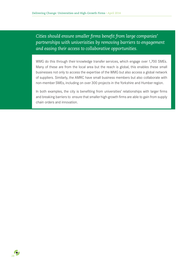*Cities should ensure smaller firms benefit from large companies' partnerships with univerisities by removing barriers to engagement and easing their access to collaborative opportunities.*

WMG do this through their knowledge transfer services, which engage over 1,700 SMEs. Many of these are from the local area but the reach is global, this enables these small businesses not only to access the expertise of the WMG but also access a global network of suppliers. Similarly, the AMRC have small business members but also collaborate with non-member SMEs, including on over 300 projects in the Yorkshire and Humber region.

In both examples, the city is benefiting from universities' relationships with larger firms and breaking barriers to ensure that smaller high-growth firms are able to gain from supply chain orders and innovation.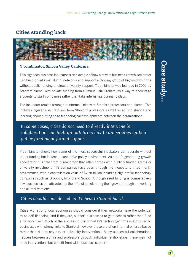## Cities standing back



#### Y combinator, Silicon Valley California

This high tech business incubator is an example of how a private business growth acclerator can build on informal alumni networks and support a thriving group of high-growth firms without public funding or direct university support. Y combinator was founded in 2005 by Stanford alumni with private funding from alumnus Paul Graham, as a way to encourage students to start companies rather than take internships during holidays.

The incubator retains strong but informal links with Stanford professors and alumni. This includes regular guest lectures from Stanford professors as well as ad hoc sharing and learning about cutting edge technological developments between the organisations.

## *In some cases, cities do not need to directly intervene in collaborations, as high-growth firms link to universities without public funding or formal support.*

Y combinator shows how some of the most successful incubators can operate without direct funding but instead a supportive policy environment. As a profit generating growth accelerator it is free from bureaucracy that often comes with publicly funded grants or university investment. 172 companies have been through the incubator's three month programmes, with a capitalisation value of \$7.78 billion including high profile technology companies such as Dropbox, Airbnb and Scribd. Although seed funding is comparatively low, businesses are attracted by the offer of accelerating their growth through networking and alumni relations.

## *Cities should consider when it's best to 'stand back'.*

Cities with strong local economies should consider if their networks have the potential to be self-financing, and if they are, support businesses to gain access rather than fund a network itself. Much of the success in Silicon Valley's technology firms is attributed to businesses with strong links to Stanford, however these are often informal or issue based rather than due to any city or university interventions. Many successful collaborations happen between alumni and professors through individual relationships, these may not need interventions but benefit from wider business support

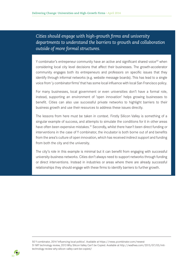*Cities should engage with high-growth firms and university departments to understand the barriers to growth and collaboration outside of more formal structures.*

Y combinator's entrepeneur community have an active and significant shared voice<sup>50</sup> when considering local city level decisions that affect their businesses. The growth-accelerator community engages both its entrepeneurs and professors on specific issues that they identify through informal networks (e.g. website message boards). This has lead to a single voice from 'y combinator firms' that has some local influence with local San Francisco policy.

For many businesses, local government or even universities don't have a formal role, instead, supporting an environment of 'open innovation' helps growing businesses to benefit. Cities can also use successful private networks to highlight barriers to their business growth and use their resources to address these issues directly.

The lessons from here must be taken in context. Firstly Silicon Valley is something of a singular example of success, and attempts to simulate the conditions for it in other areas have often been expensive mistakes.<sup>51</sup> Secondly, whilst there hasn't been direct funding or interventions in the case of Y combinator, the incubator is both borne out of and benefits from the area's culture of open innovation, which has received indirect support and funding from both the city and the university.

The city's role in this example is minimal but it can benefit from engaging with successful university-business networks. Cities don't always need to support networks through funding or direct interventions. Instead in industries or areas where there are already successful relationships they should engage with these firms to identify barriers to further growth.

50 Y combinator, 2014 'influencing local politics'. Available at https://news.ycombinator.com/newest 51 MIT technology review, 2013 Why Silicon Valley Can't be Copied. Available at http://wadhwa.com/2013/07/03/mittechnology-review-why-silicon-valley-cant-be-copied/

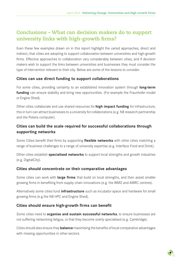## Conclusions – What can decision makers do to support university links with high-growth firms?

Even these few examples drawn on in this report highlight the varied approaches, direct and indirect, that cities are adopting to support collaboration between universities and high-growth firms. Effective approaches to collaboration vary considerably between cities, and if decision makers wish to support the links between universities and businesses they must consider the type of intervention relevant to their city. Below are some of the lessons to consider.

## **Cities can use direct funding to support collaborations**

For some cities, providing certainty to an established innovation system through **long-term funding** can ensure stability and bring new opportunities. (For example the Fraunhofer model or Engine Shed).

Other cities collaborate and use shared resources for **high impact funding** for infrastructure, this in turn can attract businesses to a university for collaborations (e.g. N8 research partnership and the Polaris computer).

## **Cities can build the scale required for successful collaborations through supporting networks**

Some Cities benefit their firms by supporting **flexible networks** with other cities matching a range of business challenges to a range of university expertise (e.g. Interface Food and Drink).

Other cities establish **specialised networks** to support local strengths and growth industries (e.g. DigitalCity).

## **Cities should concentrate on their comparative advantages**

Some cities can work with **large firms** that build on local strengths, and then assist smaller growing firms in benefiting from supply chain innovations (e.g. the WMG and AMRC centres).

Alternatively some cities fund **infrastructure** such as incubator space and hardware for small growing firms (e.g the N8 HPC and Engine Shed).

## **Cities should ensure high-growth firms can benefit**

Some cities need to **organise and sustain successful networks**, to ensure businesses are not suffering networking fatigue, or that they become overly specialised (e.g. Cambridge).

Cities should also ensure they **balance** maximising the benefits of local comparative advantages with missing opportunities in other sectors.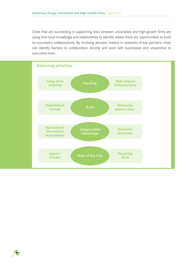Cities that are succeeding in supporting links between universities and high-growth firms are using their local knowledge and relationships to identify where there are opportunities to build on successful collaborations. By involving decision makers in networks of key partners, cities can identify barriers to collaboration directly and work with businesses and universities to overcome them.

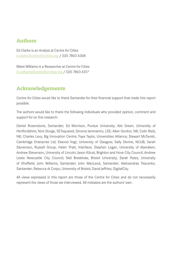## Authors

Ed Clarke is an Analyst at Centre for Cities e.clarke@centreforcities.org / 020 7803 4308

Maire Williams is a Researcher at Centre for Cities m.williams@centreforcities.org / 020 7803 4317

## Acknowledgements

Centre for Cities would like to thank Santander for their financial support that made this report possible.

The authors would like to thank the following individuals who provided opinion, comment and support for on this research:

Daniel Rosenstone, Santander; Ed Morrison, Purdue University; Alix Green, University of Hertfordshire; Nick Sturge, SETsquared; Simona Iammarino, LSE; Allan Gordon, N8; Colin Reid, N8; Charles Levy, Big Innovation Centre; Faye Taylor, Universities Alliance; Stewart McTavish, Cambridge Enterprise Ltd; Elwood Vogt, University of Glasgow; Sally Devine, NCUB; Sarah Stevenson, Russell Group; Helen Pratt, Interface; Stephen Logan, University of Aberdeen; Andrew Stevenson, University of Lincoln; Jason Kitcat, Brighton and Hove City Council; Andrew Lewis Newcastle City Council; Neil Bradshaw, Bristol University; Sarah Pates, University of Sheffield; John Williams, Santander; John MacLeod, Santander; Aleksandras Tkacenko, Santander; Rebecca di Corpo, University of Bristol; David Jeffries, DigitalCity.

All views expressed in this report are those of the Centre for Cities and do not necessarily represent the views of those we interviewed. All mistakes are the authors' own.